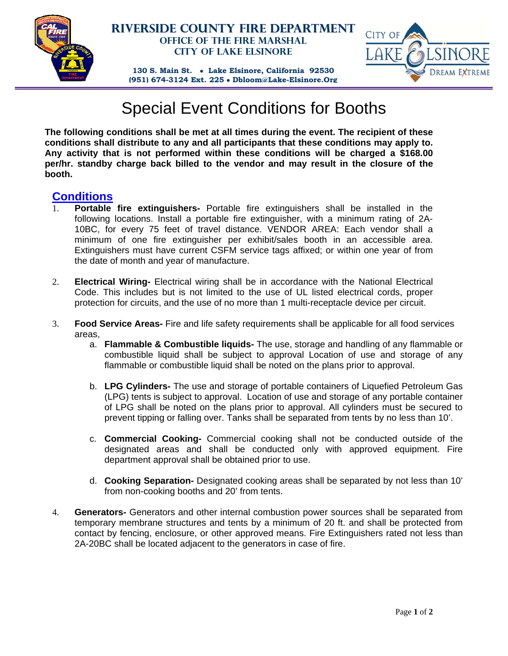

## **Riverside County Fire Department Office of the Fire Marshal City of Lake Elsinore**



**130 S. Main St. Lake Elsinore, California 92530 (951) 674-3124 Ext. 225 Dbloom@Lake-Elsinore.Org**

## Special Event Conditions for Booths

**The following conditions shall be met at all times during the event. The recipient of these conditions shall distribute to any and all participants that these conditions may apply to. Any activity that is not performed within these conditions will be charged a \$168.00 per/hr. standby charge back billed to the vendor and may result in the closure of the booth.** 

## **Conditions**

- 1. **Portable fire extinguishers-** Portable fire extinguishers shall be installed in the following locations. Install a portable fire extinguisher, with a minimum rating of 2A-10BC, for every 75 feet of travel distance. VENDOR AREA: Each vendor shall a minimum of one fire extinguisher per exhibit/sales booth in an accessible area. Extinguishers must have current CSFM service tags affixed; or within one year of from the date of month and year of manufacture.
- 2. **Electrical Wiring-** Electrical wiring shall be in accordance with the National Electrical Code. This includes but is not limited to the use of UL listed electrical cords, proper protection for circuits, and the use of no more than 1 multi-receptacle device per circuit.
- 3. **Food Service Areas-** Fire and life safety requirements shall be applicable for all food services areas,
	- a. **Flammable & Combustible liquids-** The use, storage and handling of any flammable or combustible liquid shall be subject to approval Location of use and storage of any flammable or combustible liquid shall be noted on the plans prior to approval.
	- b. **LPG Cylinders-** The use and storage of portable containers of Liquefied Petroleum Gas (LPG) tents is subject to approval. Location of use and storage of any portable container of LPG shall be noted on the plans prior to approval. All cylinders must be secured to prevent tipping or falling over. Tanks shall be separated from tents by no less than 10'.
	- c. **Commercial Cooking-** Commercial cooking shall not be conducted outside of the designated areas and shall be conducted only with approved equipment. Fire department approval shall be obtained prior to use.
	- d. **Cooking Separation-** Designated cooking areas shall be separated by not less than 10' from non-cooking booths and 20' from tents.
- 4. **Generators-** Generators and other internal combustion power sources shall be separated from temporary membrane structures and tents by a minimum of 20 ft. and shall be protected from contact by fencing, enclosure, or other approved means. Fire Extinguishers rated not less than 2A-20BC shall be located adjacent to the generators in case of fire.